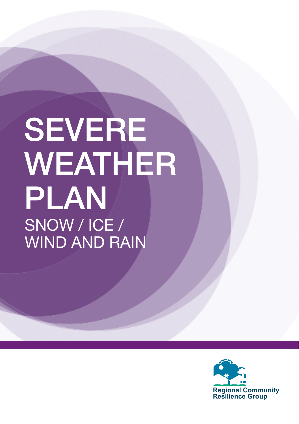# SEVERE WEATHER PLAN SNOW / ICE / WIND AND RAIN

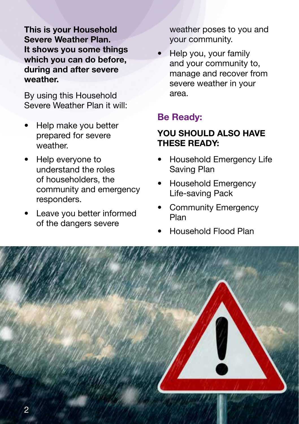**This is your Household Severe Weather Plan. It shows you some things which you can do before, during and after severe weather.**

By using this Household Severe Weather Plan it will:

- Help make you better prepared for severe weather.
- Help everyone to understand the roles of householders, the community and emergency responders.
- Leave you better informed of the dangers severe

weather poses to you and your community.

• Help you, your family and your community to, manage and recover from severe weather in your area.

### **Be Ready:**

### **YOU SHOULD ALSO HAVE THESE READY:**

- Household Emergency Life Saving Plan
- Household Emergency Life-saving Pack
- Community Emergency Plan
- Household Flood Plan

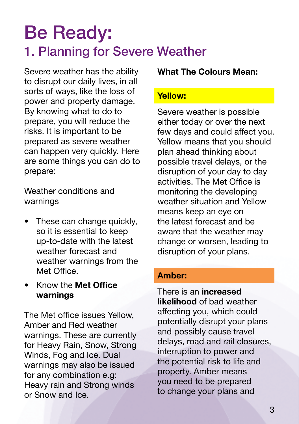# Be Ready: 1. Planning for Severe Weather

Severe weather has the ability to disrupt our daily lives, in all sorts of ways, like the loss of power and property damage. By knowing what to do to prepare, you will reduce the risks. It is important to be prepared as severe weather can happen very quickly. Here are some things you can do to prepare:

Weather conditions and warnings

- These can change quickly, so it is essential to keep up-to-date with the latest weather forecast and weather warnings from the Met Office.
- Know the **Met Office warnings**

The Met office issues Yellow, Amber and Red weather warnings. These are currently for Heavy Rain, Snow, Strong Winds, Fog and Ice. Dual warnings may also be issued for any combination e.g: Heavy rain and Strong winds or Snow and Ice.

#### **What The Colours Mean:**

### **Yellow:**

Severe weather is possible either today or over the next few days and could affect you. Yellow means that you should plan ahead thinking about possible travel delays, or the disruption of your day to day activities. The Met Office is monitoring the developing weather situation and Yellow means keep an eye on the latest forecast and be aware that the weather may change or worsen, leading to disruption of your plans.

#### **Amber:**

There is an **increased likelihood** of bad weather affecting you, which could potentially disrupt your plans and possibly cause travel delays, road and rail closures, interruption to power and the potential risk to life and property. Amber means you need to be prepared to change your plans and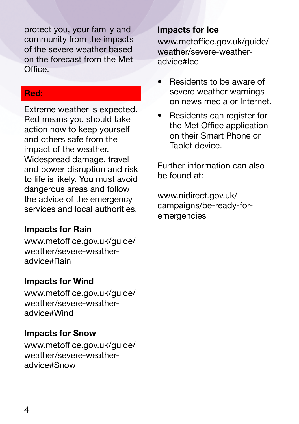protect you, your family and community from the impacts of the severe weather based on the forecast from the Met **Office** 

### **Red:**

Extreme weather is expected. Red means you should take action now to keep yourself and others safe from the impact of the weather. Widespread damage, travel and power disruption and risk to life is likely. You must avoid dangerous areas and follow the advice of the emergency services and local authorities.

### **Impacts for Rain**

www.metoffice.gov.uk/guide/ weather/severe-weatheradvice#Rain

### **Impacts for Wind**

www.metoffice.gov.uk/guide/ weather/severe-weatheradvice#Wind

### **Impacts for Snow**

www.metoffice.gov.uk/guide/ weather/severe-weatheradvice#Snow

### **Impacts for Ice**

www.metoffice.gov.uk/guide/ weather/severe-weatheradvice#Ice

- Residents to be aware of severe weather warnings on news media or Internet.
- Residents can register for the Met Office application on their Smart Phone or Tablet device.

Further information can also be found at:

www.nidirect.gov.uk/ campaigns/be-ready-foremergencies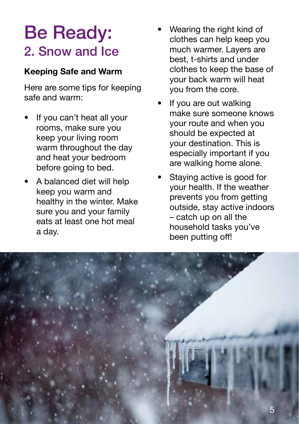# Be Ready: 2. Snow and Ice

### **Keeping Safe and Warm**

Here are some tips for keeping safe and warm:

- If you can't heat all your rooms, make sure you keep your living room warm throughout the day and heat your bedroom before going to bed.
- A balanced diet will help keep you warm and healthy in the winter. Make sure you and your family eats at least one hot meal a day.
- Wearing the right kind of clothes can help keep you much warmer. Layers are best, t-shirts and under clothes to keep the base of your back warm will heat you from the core.
- If you are out walking make sure someone knows your route and when you should be expected at your destination. This is especially important if you are walking home alone.
- Staving active is good for your health. If the weather prevents you from getting outside, stay active indoors – catch up on all the household tasks you've been putting off!

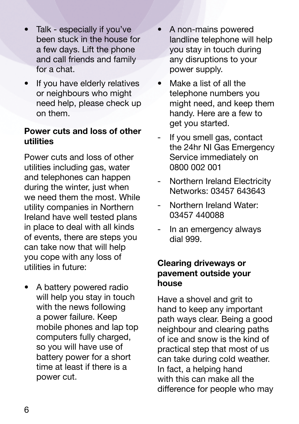- Talk especially if you've been stuck in the house for a few days. Lift the phone and call friends and family for a chat.
- If you have elderly relatives or neighbours who might need help, please check up on them.

### **Power cuts and loss of other utilities**

Power cuts and loss of other utilities including gas, water and telephones can happen during the winter, just when we need them the most. While utility companies in Northern Ireland have well tested plans in place to deal with all kinds of events, there are steps you can take now that will help you cope with any loss of utilities in future:

• A battery powered radio will help you stay in touch with the news following a power failure. Keep mobile phones and lap top computers fully charged, so you will have use of battery power for a short time at least if there is a power cut.

- A non-mains powered landline telephone will help you stay in touch during any disruptions to your power supply.
- Make a list of all the telephone numbers you might need, and keep them handy. Here are a few to get you started.
- If you smell gas, contact the 24hr NI Gas Emergency Service immediately on 0800 002 001
- Northern Ireland Electricity Networks: 03457 643643
- Northern Ireland Water: 03457 440088
- In an emergency always dial 999.

### **Clearing driveways or pavement outside your house**

Have a shovel and grit to hand to keep any important path ways clear. Being a good neighbour and clearing paths of ice and snow is the kind of practical step that most of us can take during cold weather. In fact, a helping hand with this can make all the difference for people who may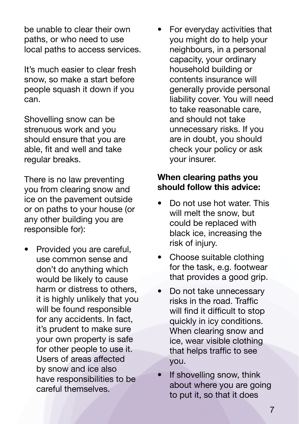be unable to clear their own paths, or who need to use local paths to access services.

It's much easier to clear fresh snow, so make a start before people squash it down if you can.

Shovelling snow can be strenuous work and you should ensure that you are able, fit and well and take regular breaks.

There is no law preventing you from clearing snow and ice on the pavement outside or on paths to your house (or any other building you are responsible for):

Provided you are careful. use common sense and don't do anything which would be likely to cause harm or distress to others, it is highly unlikely that you will be found responsible for any accidents. In fact, it's prudent to make sure your own property is safe for other people to use it. Users of areas affected by snow and ice also have responsibilities to be careful themselves.

• For everyday activities that you might do to help your neighbours, in a personal capacity, your ordinary household building or contents insurance will generally provide personal liability cover. You will need to take reasonable care, and should not take unnecessary risks. If you are in doubt, you should check your policy or ask your insurer.

### **When clearing paths you should follow this advice:**

- Do not use hot water. This will melt the snow, but could be replaced with black ice, increasing the risk of injury.
- Choose suitable clothing for the task, e.g. footwear that provides a good grip.
- Do not take unnecessary risks in the road. Traffic will find it difficult to stop quickly in icy conditions. When clearing snow and ice, wear visible clothing that helps traffic to see you.
- If shovelling snow, think about where you are going to put it, so that it does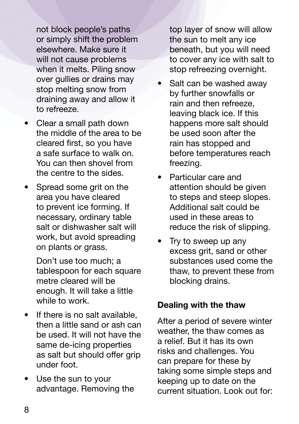not block people's paths or simply shift the problem elsewhere. Make sure it will not cause problems when it melts. Piling snow over gullies or drains may stop melting snow from draining away and allow it to refreeze.

- Clear a small path down the middle of the area to be cleared first, so you have a safe surface to walk on. You can then shovel from the centre to the sides.
- Spread some grit on the area you have cleared to prevent ice forming. If necessary, ordinary table salt or dishwasher salt will work, but avoid spreading on plants or grass.

Don't use too much; a tablespoon for each square metre cleared will be enough. It will take a little while to work.

- If there is no salt available, then a little sand or ash can be used. It will not have the same de-icing properties as salt but should offer grip under foot.
- Use the sun to your advantage. Removing the

top layer of snow will allow the sun to melt any ice beneath, but you will need to cover any ice with salt to stop refreezing overnight.

- Salt can be washed away by further snowfalls or rain and then refreeze, leaving black ice. If this happens more salt should be used soon after the rain has stopped and before temperatures reach freezing.
- Particular care and attention should be given to steps and steep slopes. Additional salt could be used in these areas to reduce the risk of slipping.
- Try to sweep up any excess grit, sand or other substances used come the thaw, to prevent these from blocking drains.

### **Dealing with the thaw**

After a period of severe winter weather, the thaw comes as a relief. But it has its own risks and challenges. You can prepare for these by taking some simple steps and keeping up to date on the current situation. Look out for: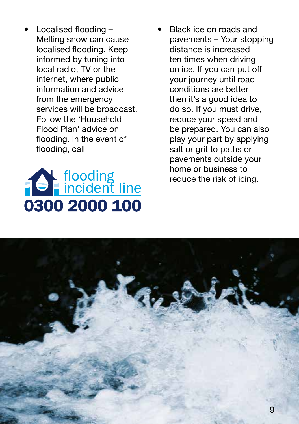• Localised flooding – Melting snow can cause localised flooding. Keep informed by tuning into local radio, TV or the internet, where public information and advice from the emergency services will be broadcast. Follow the 'Household Flood Plan' advice on flooding. In the event of flooding, call



Black ice on roads and pavements – Your stopping distance is increased ten times when driving on ice. If you can put off your journey until road conditions are better then it's a good idea to do so. If you must drive, reduce your speed and be prepared. You can also play your part by applying salt or grit to paths or pavements outside your home or business to reduce the risk of icing.

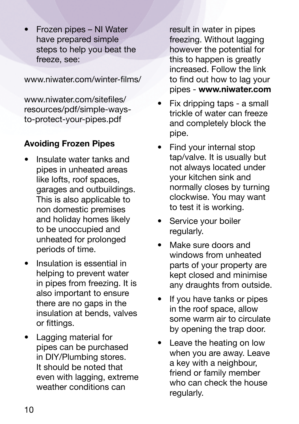• Frozen pipes – NI Water have prepared simple steps to help you beat the freeze, see:

www.niwater.com/winter-films/

www.niwater.com/sitefiles/ resources/pdf/simple-waysto-protect-your-pipes.pdf

### **Avoiding Frozen Pipes**

- Insulate water tanks and pipes in unheated areas like lofts, roof spaces, garages and outbuildings. This is also applicable to non domestic premises and holiday homes likely to be unoccupied and unheated for prolonged periods of time.
- Insulation is essential in helping to prevent water in pipes from freezing. It is also important to ensure there are no gaps in the insulation at bends, valves or fittings.
- Lagging material for pipes can be purchased in DIY/Plumbing stores. It should be noted that even with lagging, extreme weather conditions can

result in water in pipes freezing. Without lagging however the potential for this to happen is greatly increased. Follow the link to find out how to lag your pipes - **www.niwater.com**

- Fix dripping taps a small trickle of water can freeze and completely block the pipe.
- Find your internal stop tap/valve. It is usually but not always located under your kitchen sink and normally closes by turning clockwise. You may want to test it is working.
- Service your boiler regularly.
- Make sure doors and windows from unheated parts of your property are kept closed and minimise any draughts from outside.
- If you have tanks or pipes in the roof space, allow some warm air to circulate by opening the trap door.
- Leave the heating on low when you are away. Leave a key with a neighbour, friend or family member who can check the house regularly.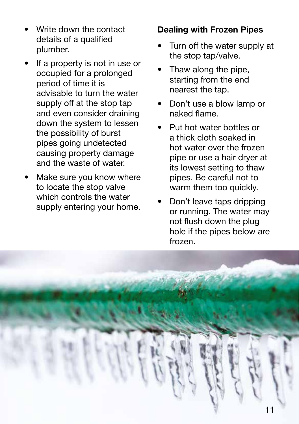- Write down the contact details of a qualified plumber.
- If a property is not in use or occupied for a prolonged period of time it is advisable to turn the water supply off at the stop tap and even consider draining down the system to lessen the possibility of burst pipes going undetected causing property damage and the waste of water.
- Make sure you know where to locate the stop valve which controls the water supply entering your home.

### **Dealing with Frozen Pipes**

- Turn off the water supply at the stop tap/valve.
- Thaw along the pipe, starting from the end nearest the tap.
- Don't use a blow lamp or naked flame.
- Put hot water bottles or a thick cloth soaked in hot water over the frozen pipe or use a hair dryer at its lowest setting to thaw pipes. Be careful not to warm them too quickly.
- Don't leave taps dripping or running. The water may not flush down the plug hole if the pipes below are frozen.

![](_page_10_Picture_9.jpeg)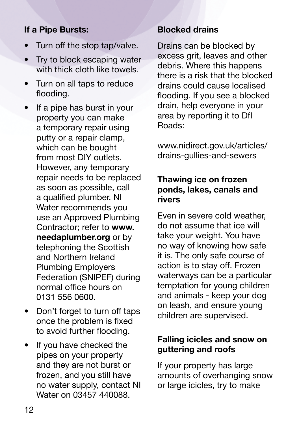### **If a Pipe Bursts:**

- Turn off the stop tap/valve.
- Try to block escaping water with thick cloth like towels.
- Turn on all taps to reduce flooding.
- If a pipe has burst in your property you can make a temporary repair using putty or a repair clamp, which can be bought from most DIY outlets. However, any temporary repair needs to be replaced as soon as possible, call a qualified plumber. NI Water recommends you use an Approved Plumbing Contractor; refer to **www. needaplumber.org** or by telephoning the Scottish and Northern Ireland Plumbing Employers Federation (SNIPEF) during normal office hours on 0131 556 0600.
- Don't forget to turn off taps once the problem is fixed to avoid further flooding.
- If you have checked the pipes on your property and they are not burst or frozen, and you still have no water supply, contact NI Water on 03457 440088.

### **Blocked drains**

Drains can be blocked by excess grit, leaves and other debris. Where this happens there is a risk that the blocked drains could cause localised flooding. If you see a blocked drain, help everyone in your area by reporting it to DfI Roads:

www.nidirect.gov.uk/articles/ drains-gullies-and-sewers

### **Thawing ice on frozen ponds, lakes, canals and rivers**

Even in severe cold weather, do not assume that ice will take your weight. You have no way of knowing how safe it is. The only safe course of action is to stay off. Frozen waterways can be a particular temptation for young children and animals - keep your dog on leash, and ensure young children are supervised.

### **Falling icicles and snow on guttering and roofs**

If your property has large amounts of overhanging snow or large icicles, try to make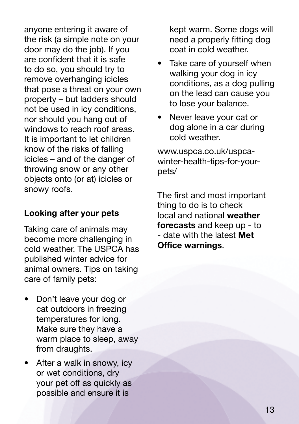anyone entering it aware of the risk (a simple note on your door may do the job). If you are confident that it is safe to do so, you should try to remove overhanging icicles that pose a threat on your own property – but ladders should not be used in icy conditions, nor should you hang out of windows to reach roof areas. It is important to let children know of the risks of falling icicles – and of the danger of throwing snow or any other objects onto (or at) icicles or snowy roofs.

### **Looking after your pets**

Taking care of animals may become more challenging in cold weather. The USPCA has published winter advice for animal owners. Tips on taking care of family pets:

- Don't leave your dog or cat outdoors in freezing temperatures for long. Make sure they have a warm place to sleep, away from draughts.
- After a walk in snowy, icy or wet conditions, dry your pet off as quickly as possible and ensure it is

kept warm. Some dogs will need a properly fitting dog coat in cold weather.

- Take care of vourself when walking your dog in icy conditions, as a dog pulling on the lead can cause you to lose your balance.
- Never leave your cat or dog alone in a car during cold weather.

www.uspca.co.uk/uspcawinter-health-tips-for-yourpets/

The first and most important thing to do is to check local and national **weather forecasts** and keep up - to - date with the latest **Met Office warnings**.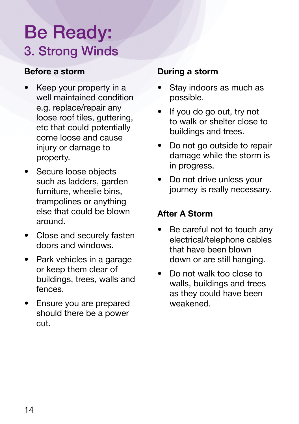# Be Ready: 3. Strong Winds

### **Before a storm**

- Keep your property in a well maintained condition e.g. replace/repair any loose roof tiles, guttering, etc that could potentially come loose and cause injury or damage to property.
- Secure loose objects such as ladders, garden furniture, wheelie bins, trampolines or anything else that could be blown around.
- Close and securely fasten doors and windows.
- Park vehicles in a garage or keep them clear of buildings, trees, walls and fences.
- Ensure you are prepared should there be a power cut.

### **During a storm**

- Stay indoors as much as possible.
- If you do go out, try not to walk or shelter close to buildings and trees.
- Do not go outside to repair damage while the storm is in progress.
- Do not drive unless your journey is really necessary.

### **After A Storm**

- Be careful not to touch any electrical/telephone cables that have been blown down or are still hanging.
- Do not walk too close to walls, buildings and trees as they could have been weakened.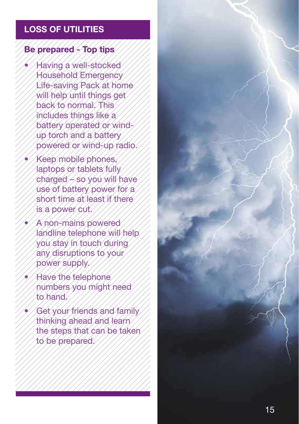### **LOSS OF UTILITIES**

### **Be prepared - Top tips**

- Having a well-stocked Household Emergency Life-saving Pack at home will help until things get back to normal. This includes things like a battery operated or windup torch and a battery powered or wind-up radio.
- Keep mobile phones, laptops or tablets fully charged – so you will have use of battery power for a short time at least if there is a power cut.
- A non-mains powered landline telephone will help you stay in touch during any disruptions to your power supply.
- Have the telephone numbers you might need to hand.
- Get your friends and family thinking ahead and learn the steps that can be taken to be prepared.

![](_page_14_Picture_7.jpeg)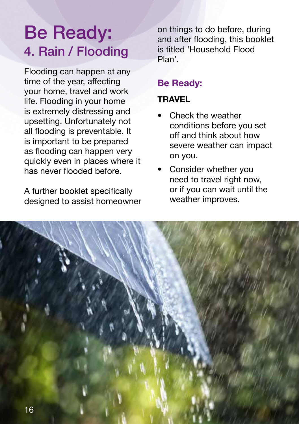# Be Ready: 4. Rain / Flooding

Flooding can happen at any time of the year, affecting your home, travel and work life. Flooding in your home is extremely distressing and upsetting. Unfortunately not all flooding is preventable. It is important to be prepared as flooding can happen very quickly even in places where it has never flooded before.

A further booklet specifically designed to assist homeowner on things to do before, during and after flooding, this booklet is titled 'Household Flood Plan'.

### **Be Ready:**

### **TRAVEL**

- Check the weather conditions before you set off and think about how severe weather can impact on you.
- Consider whether you need to travel right now, or if you can wait until the weather improves.

![](_page_15_Picture_8.jpeg)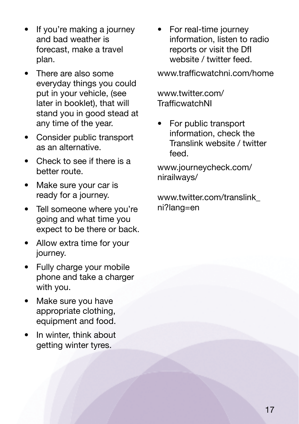- If you're making a journey and bad weather is forecast, make a travel plan.
- There are also some everyday things you could put in your vehicle, (see later in booklet), that will stand you in good stead at any time of the year.
- Consider public transport as an alternative.
- Check to see if there is a better route.
- Make sure your car is ready for a journey.
- Tell someone where you're going and what time you expect to be there or back.
- Allow extra time for your journey.
- Fully charge your mobile phone and take a charger with you.
- Make sure you have appropriate clothing, equipment and food.
- In winter, think about getting winter tyres.

• For real-time journey information, listen to radio reports or visit the DfI website / twitter feed.

www.trafficwatchni.com/home

www.twitter.com/ TrafficwatchNI

• For public transport information, check the Translink website / twitter feed.

www.journeycheck.com/ nirailways/

www.twitter.com/translink\_ ni?lang=en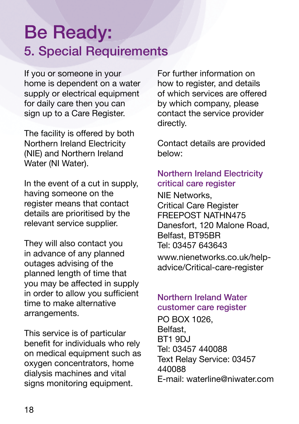### Be Ready: 5. Special Requirements

If you or someone in your home is dependent on a water supply or electrical equipment for daily care then you can sign up to a Care Register.

The facility is offered by both Northern Ireland Electricity (NIE) and Northern Ireland Water (NI Water).

In the event of a cut in supply, having someone on the register means that contact details are prioritised by the relevant service supplier.

They will also contact you in advance of any planned outages advising of the planned length of time that you may be affected in supply in order to allow you sufficient time to make alternative arrangements.

This service is of particular benefit for individuals who rely on medical equipment such as oxygen concentrators, home dialysis machines and vital signs monitoring equipment.

For further information on how to register, and details of which services are offered by which company, please contact the service provider directly.

Contact details are provided below:

### Northern Ireland Electricity critical care register

NIE Networks, Critical Care Register FREEPOST NATHN475 Danesfort, 120 Malone Road, Belfast, BT95BR Tel: 03457 643643 www.nienetworks.co.uk/helpadvice/Critical-care-register

#### Northern Ireland Water customer care register

PO BOX 1026, Belfast, BT1 9DJ Tel: 03457 440088 Text Relay Service: 03457 440088 E-mail: waterline@niwater.com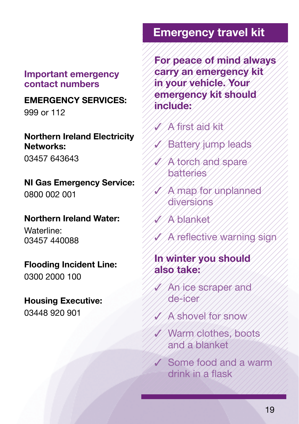### **Important emergency contact numbers**

### **EMERGENCY SERVICES:**

999 or 112

### **Northern Ireland Electricity Networks:**

03457 643643

### **NI Gas Emergency Service:** 0800 002 001

### **Northern Ireland Water:**

Waterline: 03457 440088

### **Flooding Incident Line:**

0300 2000 100

### **Housing Executive:** 03448 920 901

### **Emergency travel kit**

**For peace of mind always carry an emergency kit in your vehicle. Your emergency kit should include:**

- ✓ A first aid kit
- Battery jump leads
- **A torch and spare** batteries
- ✓ A map for unplanned diversions
- ✓ A blanket
- A reflective warning sign

### **In winter you should also take:**

- An ice scraper and de-icer
- ✓ A shovel for snow
- ✓ Warm clothes, boots and a blanket
- ✓ Some food and a warm drink in a flask